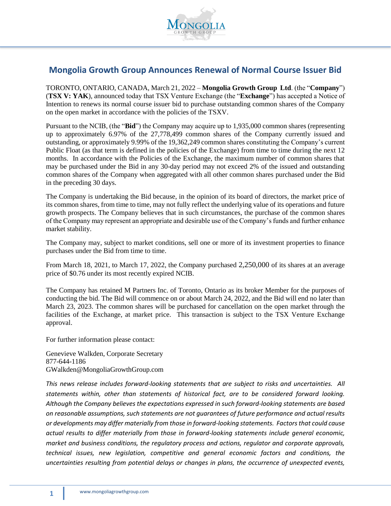

## **Mongolia Growth Group Announces Renewal of Normal Course Issuer Bid**

TORONTO, ONTARIO, CANADA, March 21, 2022 – **Mongolia Growth Group Ltd**. (the "**Company**") (**TSX V: YAK**), announced today that TSX Venture Exchange (the "**Exchange**") has accepted a Notice of Intention to renews its normal course issuer bid to purchase outstanding common shares of the Company on the open market in accordance with the policies of the TSXV.

Pursuant to the NCIB, (the "**Bid**") the Company may acquire up to 1,935,000 common shares (representing up to approximately 6.97% of the 27,778,499 common shares of the Company currently issued and outstanding, or approximately 9.99% of the 19,362,249 common shares constituting the Company's current Public Float (as that term is defined in the policies of the Exchange) from time to time during the next 12 months. In accordance with the Policies of the Exchange, the maximum number of common shares that may be purchased under the Bid in any 30-day period may not exceed 2% of the issued and outstanding common shares of the Company when aggregated with all other common shares purchased under the Bid in the preceding 30 days.

The Company is undertaking the Bid because, in the opinion of its board of directors, the market price of its common shares, from time to time, may not fully reflect the underlying value of its operations and future growth prospects. The Company believes that in such circumstances, the purchase of the common shares of the Company may represent an appropriate and desirable use of the Company's funds and further enhance market stability.

The Company may, subject to market conditions, sell one or more of its investment properties to finance purchases under the Bid from time to time.

From March 18, 2021, to March 17, 2022, the Company purchased 2,250,000 of its shares at an average price of \$0.76 under its most recently expired NCIB.

The Company has retained M Partners Inc. of Toronto, Ontario as its broker Member for the purposes of conducting the bid. The Bid will commence on or about March 24, 2022, and the Bid will end no later than March 23, 2023. The common shares will be purchased for cancellation on the open market through the facilities of the Exchange, at market price. This transaction is subject to the TSX Venture Exchange approval.

For further information please contact:

Genevieve Walkden, Corporate Secretary 877-644-1186 GWalkden@MongoliaGrowthGroup.com

*This news release includes forward-looking statements that are subject to risks and uncertainties. All statements within, other than statements of historical fact, are to be considered forward looking. Although the Company believes the expectations expressed in such forward-looking statements are based on reasonable assumptions, such statements are not guarantees of future performance and actual results or developments may differ materially from those in forward-looking statements. Factors that could cause actual results to differ materially from those in forward-looking statements include general economic, market and business conditions, the regulatory process and actions, regulator and corporate approvals, technical issues, new legislation, competitive and general economic factors and conditions, the uncertainties resulting from potential delays or changes in plans, the occurrence of unexpected events,*